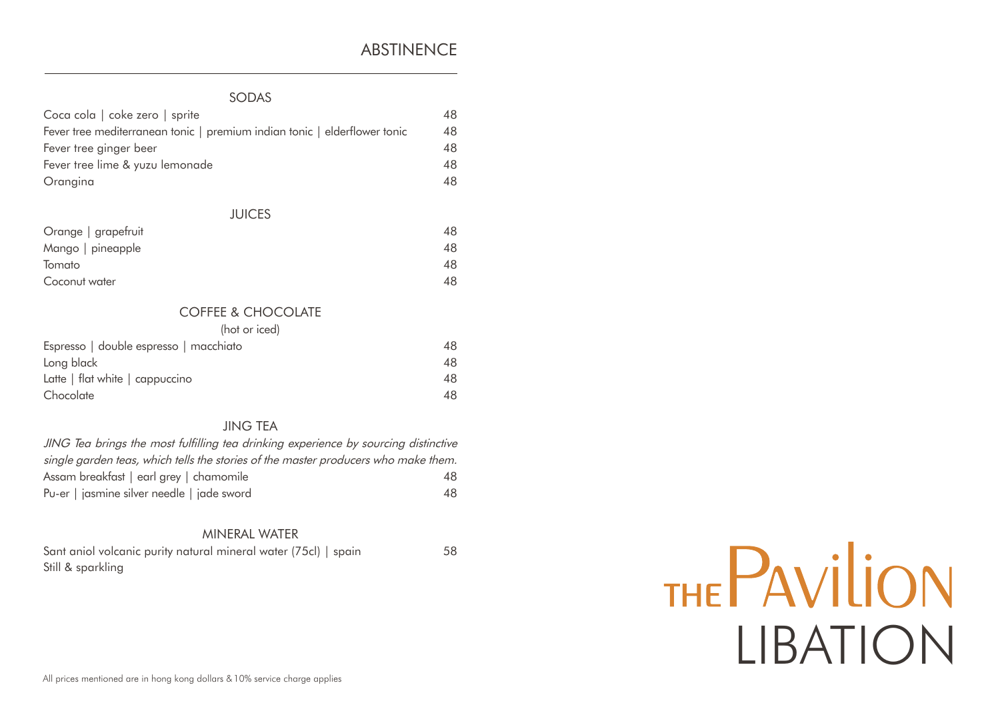# ABSTINENCE

# SODAS

| Coca cola   coke zero   sprite                                            | 48 |
|---------------------------------------------------------------------------|----|
| Fever tree mediterranean tonic   premium indian tonic   elderflower tonic | 48 |
| Fever tree ginger beer                                                    | 48 |
| Fever tree lime & yuzu lemonade                                           | 48 |
| Orangina                                                                  | 48 |
| <b>JUICES</b>                                                             |    |
| Orange   grapefruit                                                       | 48 |
| Mango   pineapple                                                         | 48 |
| Tomato                                                                    | 48 |
| Coconut water                                                             | 48 |
| <b>COFFEE &amp; CHOCOLATE</b>                                             |    |
| (hot or iced)                                                             |    |
| Espresso   double espresso   macchiato                                    | 48 |
| Long black                                                                | 48 |
| Latte   flat white   cappuccino                                           | 48 |

## JING TEA

Chocolate 48

| JING Tea brings the most fulfilling tea drinking experience by sourcing distinctive |     |
|-------------------------------------------------------------------------------------|-----|
| single garden teas, which tells the stories of the master producers who make them.  |     |
| Assam breakfast   earl grey   chamomile                                             | 48. |
| Pu-er   jasmine silver needle   jade sword                                          | 48  |

## MINERAL WATER

| Sant aniol volcanic purity natural mineral water (75cl)   spain | 58 |
|-----------------------------------------------------------------|----|
| Still & sparkling                                               |    |

# THE PAVILION LIBATION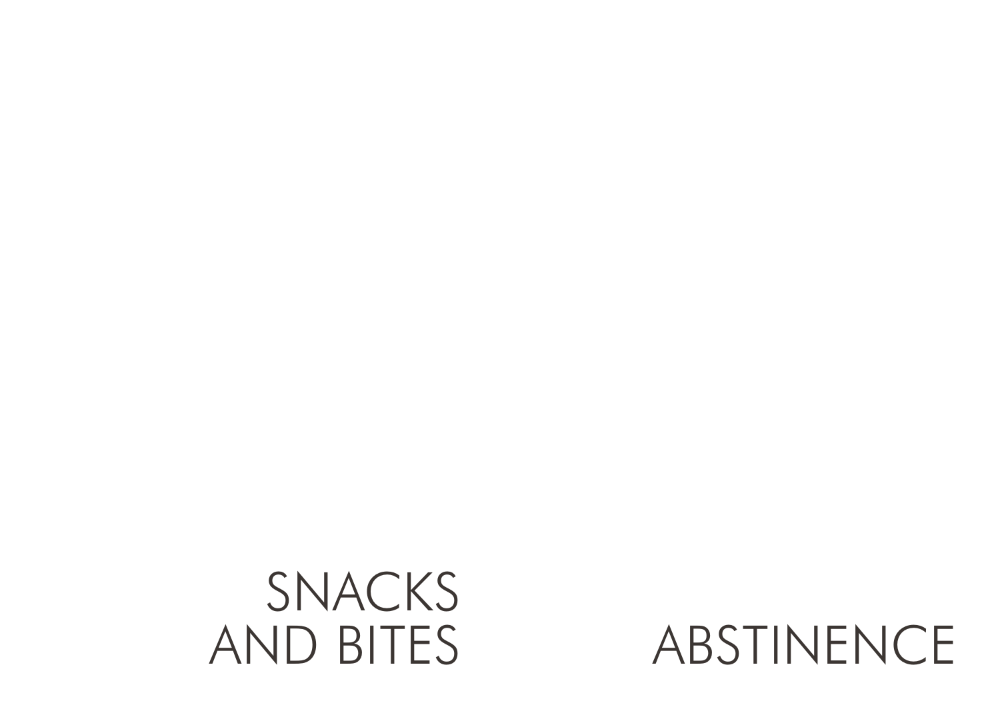

ABSTINENCE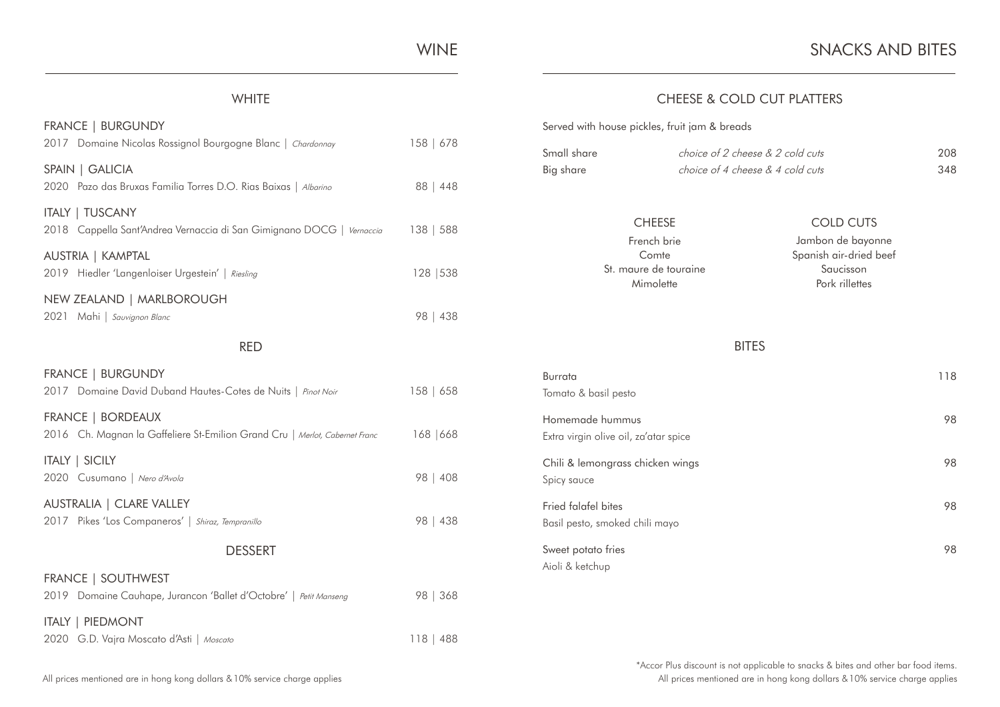WINE

### **WHITE**

| <b>FRANCE   BURGUNDY</b><br>2017 Domaine Nicolas Rossignol Bourgogne Blanc   Chardonnay          | 158   678 |
|--------------------------------------------------------------------------------------------------|-----------|
| SPAIN   GALICIA<br>2020 Pazo das Bruxas Familia Torres D.O. Rias Baixas   Albarino               | 88   448  |
| <b>ITALY   TUSCANY</b><br>2018 Cappella Sant'Andrea Vernaccia di San Gimignano DOCG   Vemaccia   | 138   588 |
| AUSTRIA   KAMPTAL<br>2019 Hiedler 'Langenloiser Urgestein'   Riesling                            | 128   538 |
| NEW ZEALAND   MARLBOROUGH<br>2021 Mahi   Sauvignon Blanc                                         | 98   438  |
| <b>RED</b>                                                                                       |           |
| <b>FRANCE   BURGUNDY</b><br>2017 Domaine David Duband Hautes-Cotes de Nuits   Pinot Noir         | 158   658 |
| FRANCE   BORDEAUX<br>2016 Ch. Magnan la Gaffeliere St-Emilion Grand Cru   Merlot, Cabernet Franc | 168   668 |
| <b>ITALY   SICILY</b><br>2020 Cusumano   Nero d'Avola                                            | 98   408  |
| AUSTRALIA   CLARE VALLEY<br>2017 Pikes 'Los Companeros'   Shiraz, Tempranillo                    | 98   438  |
| <b>DESSERT</b>                                                                                   |           |
| <b>FRANCE   SOUTHWEST</b><br>2019 Domaine Cauhape, Jurancon 'Ballet d'Octobre'   Petit Manseng   | 98   368  |
| <b>ITALY   PIEDMONT</b><br>2020 G.D. Vajra Moscato d'Asti   Moscato                              | 118   488 |

# CHEESE & COLD CUT PLATTERS

#### Served with house pickles, fruit jam & breads

| Small share | choice of 2 cheese & 2 cold cuts | 208 |
|-------------|----------------------------------|-----|
| Big share   | choice of 4 cheese & 4 cold cuts | 348 |

#### CHEESE COLD CUTS French brie

Comte St. maure de touraine Mimolette

#### Jambon de bayonne Spanish air-dried beef Saucisson Pork rillettes

BITES

| <b>Burrata</b>                        | 118 |
|---------------------------------------|-----|
| Tomato & basil pesto                  |     |
| Homemade hummus                       | 98  |
| Extra virgin olive oil, za'atar spice |     |
| Chili & lemongrass chicken wings      | 98  |
| Spicy sauce                           |     |
| Fried falafel bites                   | 98  |
| Basil pesto, smoked chili mayo        |     |
| Sweet potato fries                    | 98  |
| Aioli & ketchup                       |     |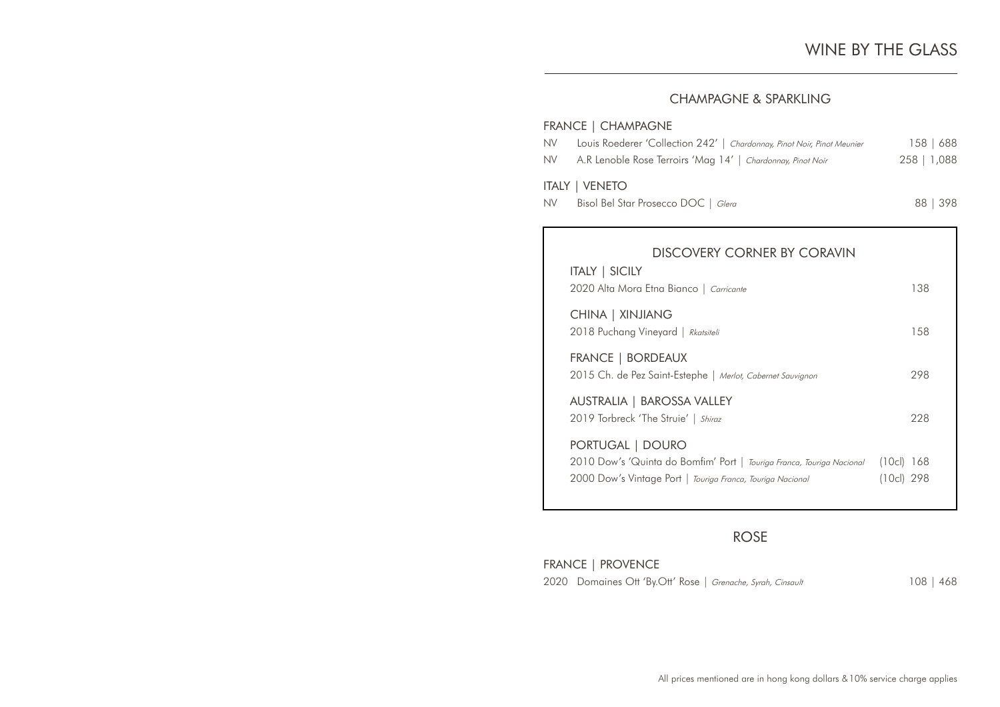# CHAMPAGNE & SPARKLING

#### FRANCE | CHAMPAGNE

| NV. | Louis Roederer 'Collection 242'   Chardonnay, Pinot Noir, Pinot Meunier | 158   688   |
|-----|-------------------------------------------------------------------------|-------------|
|     | NV A.R Lenoble Rose Terroirs 'Mag 14'   Chardonnay, Pinot Noir          | 258   1,088 |
|     | ITALY   VENETO                                                          |             |
| NV. | Bisol Bel Star Prosecco DOC   Glera                                     | 88 398      |

| DISCOVERY CORNER BY CORAVIN<br><b>ITALY   SICILY</b>                                                                                                    |                         |
|---------------------------------------------------------------------------------------------------------------------------------------------------------|-------------------------|
| 2020 Alta Mora Etna Bianco   Carricante                                                                                                                 | 138                     |
| CHINA   XINJIANG<br>2018 Puchang Vineyard   Rkatsiteli                                                                                                  | 158                     |
| <b>FRANCE   BORDEAUX</b><br>2015 Ch. de Pez Saint-Estephe   Merlot, Cabernet Sauvignon                                                                  | 298                     |
| AUSTRALIA   BAROSSA VALLEY<br>2019 Torbreck 'The Struie'   Shiraz                                                                                       | 228                     |
| PORTUGAL   DOURO<br>2010 Dow's 'Quinta do Bomfim' Port   Touriga Franca, Touriga Nacional<br>2000 Dow's Vintage Port   Touriga Franca, Touriga Nacional | (10c) 168<br>(10cl) 298 |

# ROSE

FRANCE | PROVENCE 2020 Domaines Ott 'By.Ott' Rose | Grenache, Syrah, Cinsault 108 | 468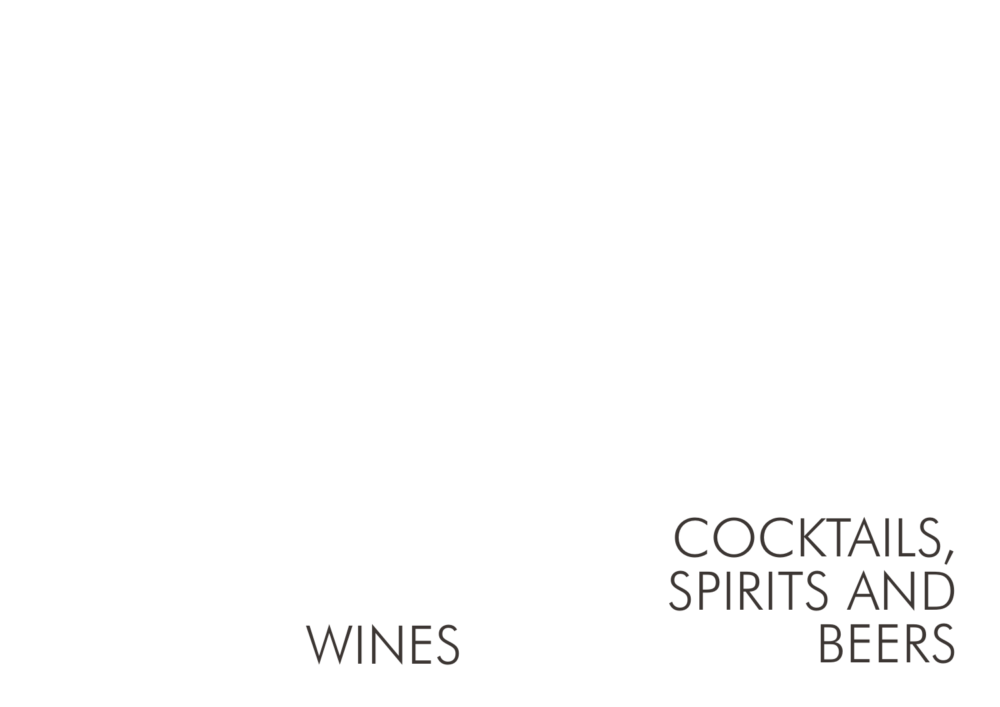# COCKTAILS, SPIRITS AND WINES BEERS

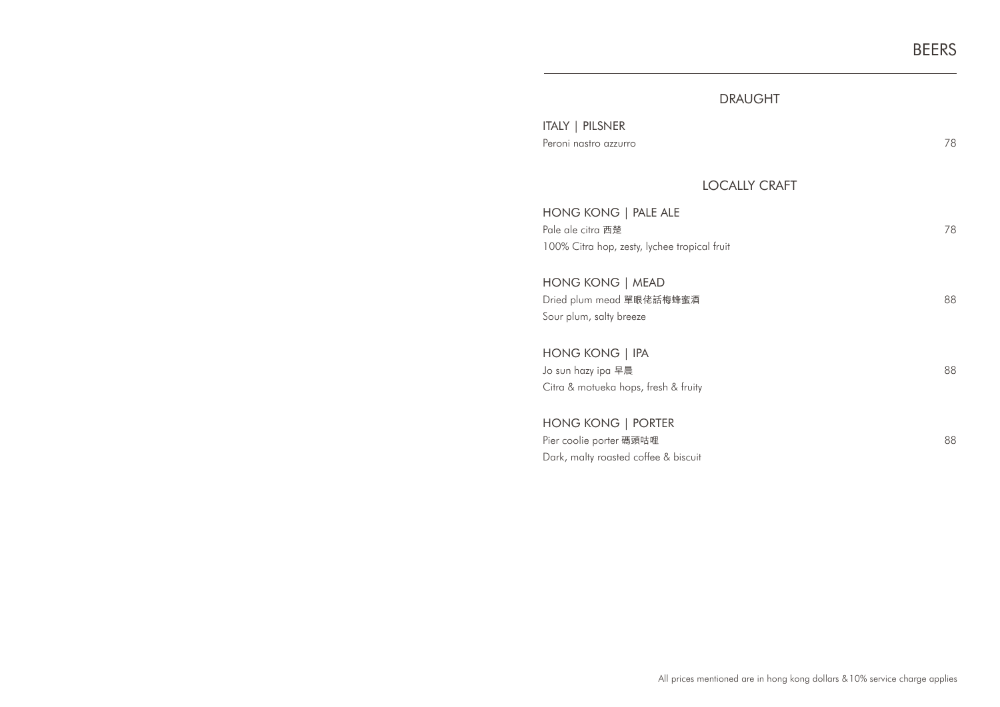# DRAUGHT

| ITALY   PILSNER       |    |
|-----------------------|----|
| Peroni nastro azzurro | 78 |

# LOCALLY CRAFT

| HONG KONG   PALE ALE<br>Pale ale citra 西楚<br>100% Citra hop, zesty, lychee tropical fruit | 78 |
|-------------------------------------------------------------------------------------------|----|
| HONG KONG   MEAD<br>Dried plum mead 單眼佬話梅蜂蜜酒<br>Sour plum, salty breeze                   | 88 |
| HONG KONG   IPA<br>Jo sun hazy ipa 早晨<br>Citra & motueka hops, fresh & fruity             | 88 |
| HONG KONG   PORTER<br>Pier coolie porter 碼頭咕哩<br>Dark, malty roasted coffee & biscuit     | 88 |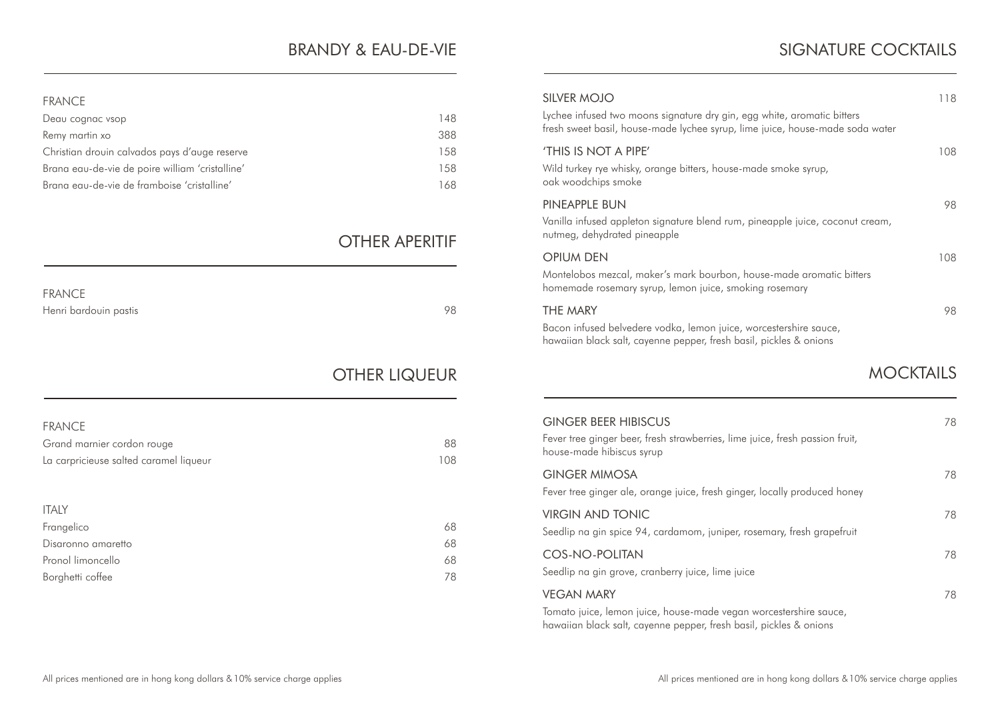# BRANDY & EAU-DE-VIE

#### FRANCE

| Deau cognac vsop                                | 148  |
|-------------------------------------------------|------|
| Remy martin xo                                  | 388  |
| Christian drouin calvados pays d'auge reserve   | 158  |
| Brana eau-de-vie de poire william 'cristalline' | 1.58 |
| Brana eau-de-vie de framboise 'cristalline'     | 168  |

# OTHER APERITIF

| <b>FRANCE</b>         |    |
|-----------------------|----|
| Henri bardouin pastis | 98 |

# OTHER LIQUEUR

| <b>FRANCE</b>                          |     |
|----------------------------------------|-----|
| Grand marnier cordon rouge             | 88  |
| La carpricieuse salted caramel liqueur | 108 |
|                                        |     |
|                                        |     |
|                                        |     |
| <b>ITALY</b>                           |     |
| Frangelico                             | 68  |
| Disaronno amaretto                     | 68  |
| Pronol limoncello                      | 68  |
| Borghetti coffee                       | 78  |

| SILVER MOJO<br>Lychee infused two moons signature dry gin, egg white, aromatic bitters<br>fresh sweet basil, house-made lychee syrup, lime juice, house-made soda water | 118 |
|-------------------------------------------------------------------------------------------------------------------------------------------------------------------------|-----|
| 'THIS IS NOT A PIPE'<br>Wild turkey rye whisky, orange bitters, house-made smoke syrup,<br>oak woodchips smoke                                                          | 108 |
| PINEAPPLE BUN<br>Vanilla infused appleton signature blend rum, pineapple juice, coconut cream,<br>nutmeg, dehydrated pineapple                                          | 98  |
| <b>OPIUM DEN</b><br>Montelobos mezcal, maker's mark bourbon, house-made aromatic bitters<br>homemade rosemary syrup, lemon juice, smoking rosemary                      | 108 |
| THE MARY<br>Bacon infused belvedere vodka, lemon juice, worcestershire sauce,<br>hawaiian black salt, cayenne pepper, fresh basil, pickles & onions                     | 98  |
|                                                                                                                                                                         |     |

| <b>GINGER BEER HIBISCUS</b><br>Fever tree ginger beer, fresh strawberries, lime juice, fresh passion fruit,<br>house-made hibiscus syrup                     | 78 |
|--------------------------------------------------------------------------------------------------------------------------------------------------------------|----|
| <b>GINGER MIMOSA</b><br>Fever tree ginger ale, orange juice, fresh ginger, locally produced honey                                                            | 78 |
| <b>VIRGIN AND TONIC</b><br>Seedlip na gin spice 94, cardamom, juniper, rosemary, fresh grapefruit                                                            | 78 |
| COS-NO-POLITAN<br>Seedlip na gin grove, cranberry juice, lime juice                                                                                          | 78 |
| <b>VEGAN MARY</b><br>Tomato juice, lemon juice, house-made vegan worcestershire sauce,<br>hawaiian black salt, cayenne pepper, fresh basil, pickles & onions | 78 |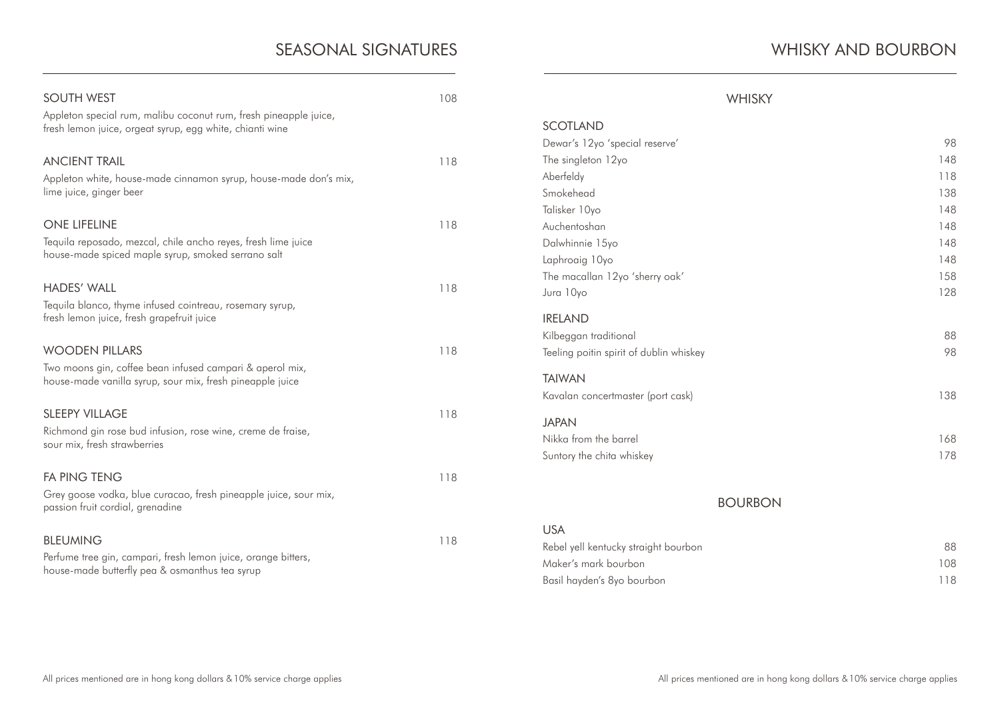| <b>SOUTH WEST</b><br>Appleton special rum, malibu coconut rum, fresh pineapple juice,<br>fresh lemon juice, orgeat syrup, egg white, chianti wine | 108 |
|---------------------------------------------------------------------------------------------------------------------------------------------------|-----|
| <b>ANCIENT TRAIL</b><br>Appleton white, house-made cinnamon syrup, house-made don's mix,<br>lime juice, ginger beer                               | 118 |
| <b>ONE LIFELINE</b><br>Tequila reposado, mezcal, chile ancho reyes, fresh lime juice<br>house-made spiced maple syrup, smoked serrano salt        | 118 |
| <b>HADES' WALL</b><br>Tequila blanco, thyme infused cointreau, rosemary syrup,<br>fresh lemon juice, fresh grapefruit juice                       | 118 |
| <b>WOODEN PILLARS</b><br>Two moons gin, coffee bean infused campari & aperol mix,<br>house-made vanilla syrup, sour mix, fresh pineapple juice    | 118 |
| <b>SLEEPY VILLAGE</b><br>Richmond gin rose bud infusion, rose wine, creme de fraise,<br>sour mix, fresh strawberries                              | 118 |
| <b>FA PING TENG</b><br>Grey goose vodka, blue curacao, fresh pineapple juice, sour mix,<br>passion fruit cordial, grenadine                       | 118 |
| <b>BLEUMING</b><br>Perfume tree gin, campari, fresh lemon juice, orange bitters,<br>house-made butterfly pea & osmanthus tea syrup                | 118 |

# WHISKY AND BOURBON

| <b>WHISKY</b>                           |     |
|-----------------------------------------|-----|
| <b>SCOTLAND</b>                         |     |
| Dewar's 12yo 'special reserve'          | 98  |
| The singleton 12yo                      | 148 |
| Aberfeldy                               | 118 |
| Smokehead                               | 138 |
| Talisker 10yo                           | 148 |
| Auchentoshan                            | 148 |
| Dalwhinnie 15yo                         | 148 |
| Laphroaig 10yo                          | 148 |
| The macallan 12yo 'sherry oak'          | 158 |
| Jura 10yo                               | 128 |
| <b>IRELAND</b>                          |     |
| Kilbeggan traditional                   | 88  |
| Teeling poitin spirit of dublin whiskey | 98  |
| <b>TAIWAN</b>                           |     |
| Kavalan concertmaster (port cask)       | 138 |
| <b>JAPAN</b>                            |     |
| Nikka from the barrel                   | 168 |
| Suntory the chita whiskey               | 178 |
|                                         |     |
| <b>BOURBON</b>                          |     |

#### BOURBON

| <b>USA</b>                           |      |
|--------------------------------------|------|
| Rebel yell kentucky straight bourbon | 88.  |
| Maker's mark bourbon                 | 108. |
| Basil hayden's 8yo bourbon           | 118. |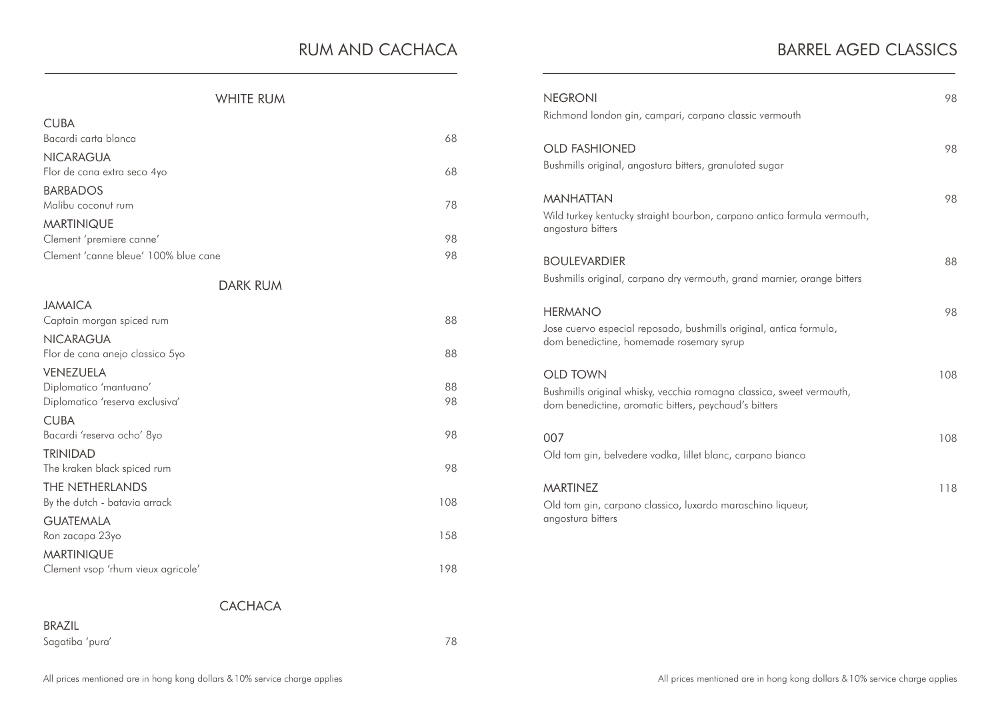# RUM AND CACHACA

# WHITE RUM

| <b>CUBA</b>                                    |     |
|------------------------------------------------|-----|
| Bacardi carta blanca                           | 68  |
| <b>NICARAGUA</b>                               |     |
| Flor de cana extra seco 4yo                    | 68  |
| <b>BARBADOS</b>                                |     |
| Malibu coconut rum                             | 78  |
| <b>MARTINIQUE</b>                              | 98  |
| Clement 'premiere canne'                       |     |
| Clement 'canne bleue' 100% blue cane           | 98  |
| <b>DARK RUM</b>                                |     |
| <b>JAMAICA</b>                                 |     |
| Captain morgan spiced rum                      | 88  |
| <b>NICARAGUA</b>                               |     |
| Flor de cana anejo classico 5yo                | 88  |
| VENEZUELA                                      |     |
| Diplomatico 'mantuano'                         | 88  |
| Diplomatico 'reserva exclusiva'                | 98  |
| <b>CUBA</b>                                    | 98  |
| Bacardi 'reserva ocho' 8yo                     |     |
| <b>TRINIDAD</b><br>The kraken black spiced rum | 98  |
| THE NETHERLANDS                                |     |
| By the dutch - batavia arrack                  | 108 |
| <b>GUATEMALA</b>                               |     |
| Ron zacapa 23yo                                | 158 |
| <b>MARTINIQUE</b>                              |     |
| Clement vsop 'rhum vieux agricole'             | 198 |

| <b>NEGRONI</b><br>Richmond london gin, campari, carpano classic vermouth                                                                         | 98  |
|--------------------------------------------------------------------------------------------------------------------------------------------------|-----|
| <b>OLD FASHIONED</b><br>Bushmills original, angostura bitters, granulated sugar                                                                  | 98  |
| <b>MANHATTAN</b><br>Wild turkey kentucky straight bourbon, carpano antica formula vermouth,<br>angostura bitters                                 | 98  |
| <b>BOULEVARDIER</b><br>Bushmills original, carpano dry vermouth, grand marnier, orange bitters                                                   | 88  |
| <b>HERMANO</b><br>Jose cuervo especial reposado, bushmills original, antica formula,<br>dom benedictine, homemade rosemary syrup                 | 98  |
| <b>OLD TOWN</b><br>Bushmills original whisky, vecchia romagna classica, sweet vermouth,<br>dom benedictine, aromatic bitters, peychaud's bitters | 108 |
| 007<br>Old tom gin, belvedere vodka, lillet blanc, carpano bianco                                                                                | 108 |
| <b>MARTINEZ</b><br>Old tom gin, carpano classico, luxardo maraschino liqueur,<br>angostura bitters                                               | 118 |

# **CACHACA**